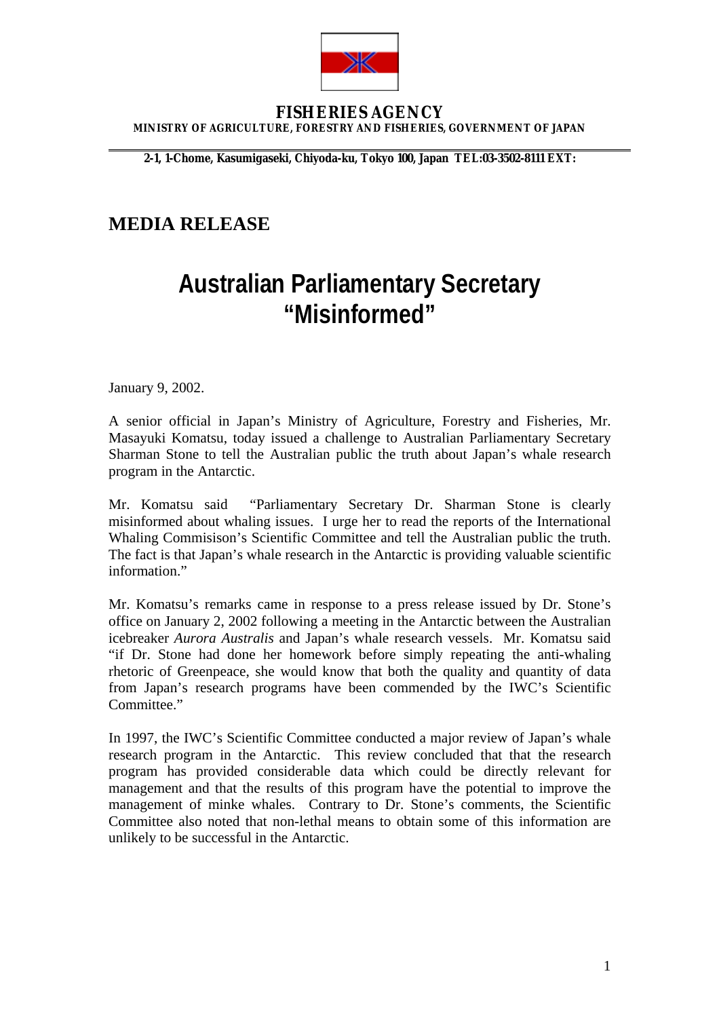

#### **FISHERIES AGENCY MINISTRY OF AGRICULTURE, FORESTRY AND FISHERIES, GOVERNMENT OF JAPAN**

**2-1, 1-Chome, Kasumigaseki, Chiyoda-ku, Tokyo 100, Japan TEL:03-3502-8111 EXT:**

# **MEDIA RELEASE**

# **Australian Parliamentary Secretary "Misinformed"**

January 9, 2002.

 $\overline{a}$ 

A senior official in Japan's Ministry of Agriculture, Forestry and Fisheries, Mr. Masayuki Komatsu, today issued a challenge to Australian Parliamentary Secretary Sharman Stone to tell the Australian public the truth about Japan's whale research program in the Antarctic.

Mr. Komatsu said "Parliamentary Secretary Dr. Sharman Stone is clearly misinformed about whaling issues. I urge her to read the reports of the International Whaling Commisison's Scientific Committee and tell the Australian public the truth. The fact is that Japan's whale research in the Antarctic is providing valuable scientific information"

Mr. Komatsu's remarks came in response to a press release issued by Dr. Stone's office on January 2, 2002 following a meeting in the Antarctic between the Australian icebreaker *Aurora Australis* and Japan's whale research vessels. Mr. Komatsu said "if Dr. Stone had done her homework before simply repeating the anti-whaling rhetoric of Greenpeace, she would know that both the quality and quantity of data from Japan's research programs have been commended by the IWC's Scientific Committee."

In 1997, the IWC's Scientific Committee conducted a major review of Japan's whale research program in the Antarctic. This review concluded that that the research program has provided considerable data which could be directly relevant for management and that the results of this program have the potential to improve the management of minke whales. Contrary to Dr. Stone's comments, the Scientific Committee also noted that non-lethal means to obtain some of this information are unlikely to be successful in the Antarctic.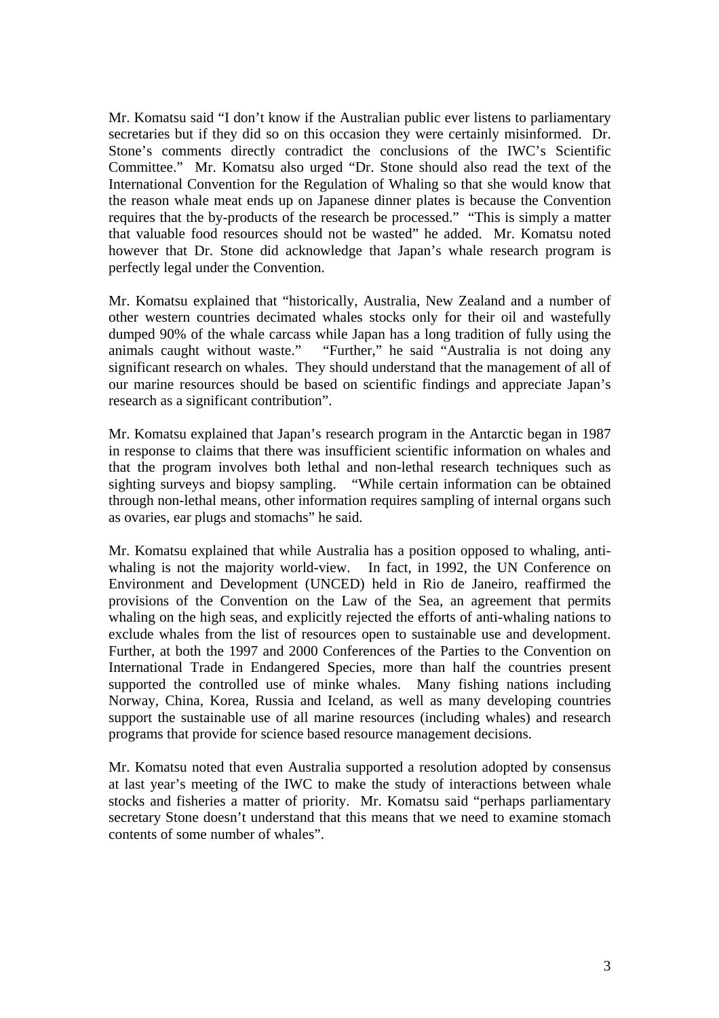Mr. Komatsu said "I don't know if the Australian public ever listens to parliamentary secretaries but if they did so on this occasion they were certainly misinformed. Dr. Stone's comments directly contradict the conclusions of the IWC's Scientific Committee." Mr. Komatsu also urged "Dr. Stone should also read the text of the International Convention for the Regulation of Whaling so that she would know that the reason whale meat ends up on Japanese dinner plates is because the Convention requires that the by-products of the research be processed." "This is simply a matter that valuable food resources should not be wasted" he added. Mr. Komatsu noted however that Dr. Stone did acknowledge that Japan's whale research program is perfectly legal under the Convention.

Mr. Komatsu explained that "historically, Australia, New Zealand and a number of other western countries decimated whales stocks only for their oil and wastefully dumped 90% of the whale carcass while Japan has a long tradition of fully using the animals caught without waste." "Further," he said "Australia is not doing any significant research on whales. They should understand that the management of all of our marine resources should be based on scientific findings and appreciate Japan's research as a significant contribution".

Mr. Komatsu explained that Japan's research program in the Antarctic began in 1987 in response to claims that there was insufficient scientific information on whales and that the program involves both lethal and non-lethal research techniques such as sighting surveys and biopsy sampling. "While certain information can be obtained through non-lethal means, other information requires sampling of internal organs such as ovaries, ear plugs and stomachs" he said.

Mr. Komatsu explained that while Australia has a position opposed to whaling, antiwhaling is not the majority world-view. In fact, in 1992, the UN Conference on Environment and Development (UNCED) held in Rio de Janeiro, reaffirmed the provisions of the Convention on the Law of the Sea, an agreement that permits whaling on the high seas, and explicitly rejected the efforts of anti-whaling nations to exclude whales from the list of resources open to sustainable use and development. Further, at both the 1997 and 2000 Conferences of the Parties to the Convention on International Trade in Endangered Species, more than half the countries present supported the controlled use of minke whales. Many fishing nations including Norway, China, Korea, Russia and Iceland, as well as many developing countries support the sustainable use of all marine resources (including whales) and research programs that provide for science based resource management decisions.

Mr. Komatsu noted that even Australia supported a resolution adopted by consensus at last year's meeting of the IWC to make the study of interactions between whale stocks and fisheries a matter of priority. Mr. Komatsu said "perhaps parliamentary secretary Stone doesn't understand that this means that we need to examine stomach contents of some number of whales".